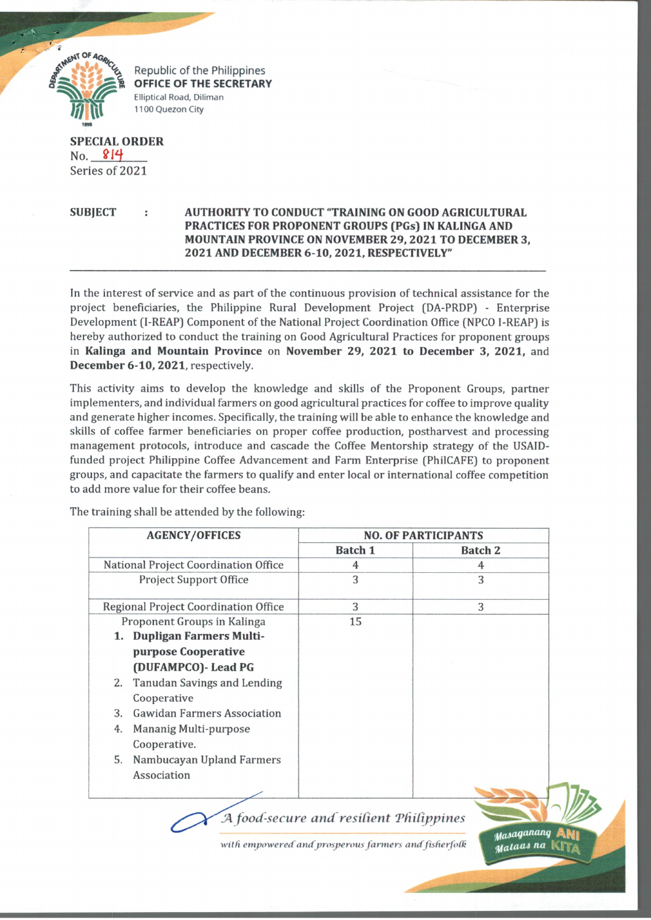

Republic of the Philippines **OFFICE OF THE SECRETARY** Elliptical Road, Diliman 1100 Quezon City

**SPECIAL ORDER** No. 814 Series of 2021

## **SUBJECT : AUTHORITY TO CONDUCT "TRAINING ON GOOD AGRICULTURAL PRACTICES FOR PROPONENT GROUPS (PGs) IN KALINGA AND MOUNTAIN PROVINCE ON NOVEMBER 29, 2021 TO DECEMBER 3, 2021 AND DECEMBER 6-10, 2021, RESPECTIVELY"**

In the interest of service and as part of the continuous provision of technical assistance for the project beneficiaries, the Philippine Rural Development Project (DA-PRDP) - Enterprise Development (I-REAP) Component of the National Project Coordination Office (NPCO I-REAP) is hereby authorized to conduct the training on Good Agricultural Practices for proponent groups in **Kalinga and Mountain Province** on **November 29, 2021 to December 3, 2021,** and **December 6-10, 2021,** respectively.

This activity aims to develop the knowledge and skills of the Proponent Groups, partner implementers, and individual farmers on good agricultural practices for coffee to improve quality and generate higher incomes. Specifically, the training will be able to enhance the knowledge and skills of coffee farmer beneficiaries on proper coffee production, postharvest and processing management protocols, introduce and cascade the Coffee Mentorship strategy of the USAIDfunded project Philippine Coffee Advancement and Farm Enterprise (PhilCAFE) to proponent groups, and capacitate the farmers to qualify and enter local or international coffee competition to add more value for their coffee beans.

The training shall be attended by the following:

|                                             | <b>AGENCY/OFFICES</b>              | <b>NO. OF PARTICIPANTS</b> |                |
|---------------------------------------------|------------------------------------|----------------------------|----------------|
|                                             |                                    | <b>Batch 1</b>             | <b>Batch 2</b> |
| National Project Coordination Office        |                                    | 4                          | 4              |
|                                             | <b>Project Support Office</b>      | 3                          | 3              |
| <b>Regional Project Coordination Office</b> |                                    | 3                          | 3              |
| Proponent Groups in Kalinga                 |                                    | 15                         |                |
|                                             | 1. Dupligan Farmers Multi-         |                            |                |
|                                             | purpose Cooperative                |                            |                |
|                                             | (DUFAMPCO) - Lead PG               |                            |                |
| 2.                                          | Tanudan Savings and Lending        |                            |                |
|                                             | Cooperative                        |                            |                |
| 3.                                          | <b>Gawidan Farmers Association</b> |                            |                |
| 4.                                          | Mananig Multi-purpose              |                            |                |
|                                             | Cooperative.                       |                            |                |
| 5.                                          | Nambucayan Upland Farmers          |                            |                |
|                                             | Association                        |                            |                |
|                                             |                                    |                            |                |

*food-secure and resilient TfUCippines*

with empowered and prosperous farmers and fisherfolk

 $\boldsymbol{u}$  asaganang *u<sub>alaas na*</sub>